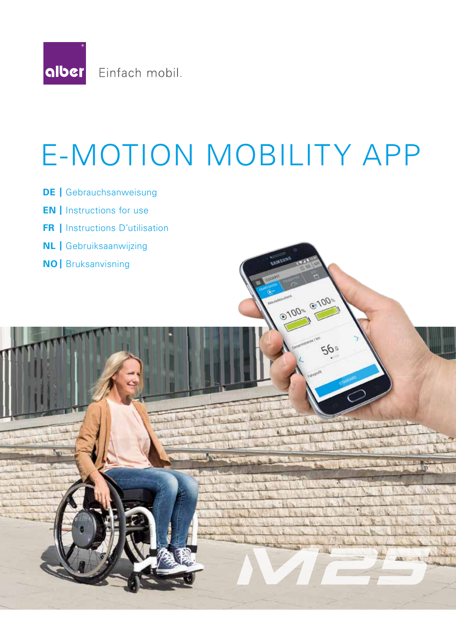

Einfach mobil.

# E-MOTION MOBILITY APP

- **DE |** Gebrauchsanweisung
- **EN |** Instructions for use
- **FR |** Instructions D'utilisation
- **NL |** Gebruiksaanwijzing
- **NO |** Bruksanvisning

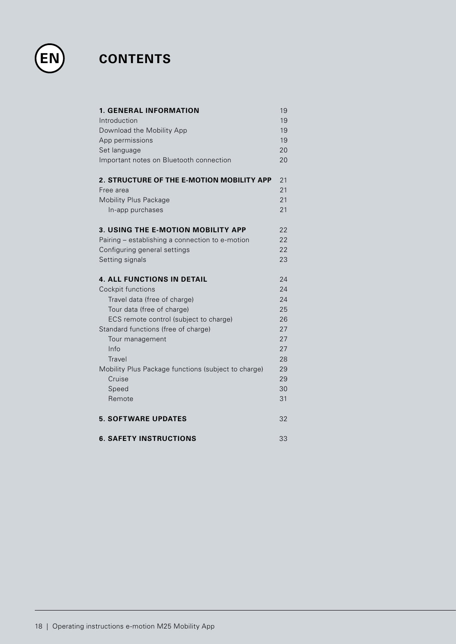

### **CONTENTS**

| <b>1. GENERAL INFORMATION</b>                       | 19 |  |  |  |
|-----------------------------------------------------|----|--|--|--|
| Introduction                                        | 19 |  |  |  |
| Download the Mobility App                           | 19 |  |  |  |
| App permissions                                     | 19 |  |  |  |
| Set language                                        | 20 |  |  |  |
| Important notes on Bluetooth connection             | 20 |  |  |  |
| 2. STRUCTURE OF THE E-MOTION MOBILITY APP           | 21 |  |  |  |
| Free area                                           | 21 |  |  |  |
| Mobility Plus Package                               | 21 |  |  |  |
| In-app purchases                                    | 21 |  |  |  |
| <b>3. USING THE E-MOTION MOBILITY APP</b>           | 22 |  |  |  |
| Pairing – establishing a connection to e-motion     | 22 |  |  |  |
| Configuring general settings                        | 22 |  |  |  |
| Setting signals                                     | 23 |  |  |  |
| <b>4. ALL FUNCTIONS IN DETAIL</b>                   | 24 |  |  |  |
| Cockpit functions                                   | 24 |  |  |  |
| Travel data (free of charge)                        | 24 |  |  |  |
| Tour data (free of charge)                          | 25 |  |  |  |
| ECS remote control (subject to charge)              | 26 |  |  |  |
| Standard functions (free of charge)                 | 27 |  |  |  |
| Tour management                                     | 27 |  |  |  |
| lnfo                                                | 27 |  |  |  |
| Travel                                              | 28 |  |  |  |
| Mobility Plus Package functions (subject to charge) | 29 |  |  |  |
| Cruise                                              | 29 |  |  |  |
| Speed                                               | 30 |  |  |  |
| Remote                                              | 31 |  |  |  |
| <b>5. SOFTWARE UPDATES</b>                          | 32 |  |  |  |
| <b>6. SAFETY INSTRUCTIONS</b>                       |    |  |  |  |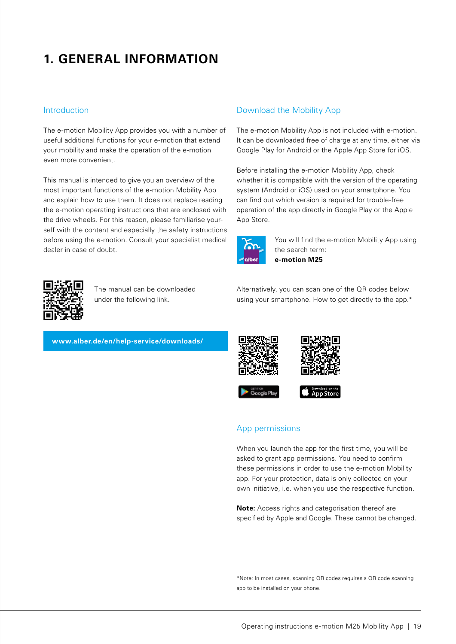### **1. GENERAL INFORMATION**

#### Introduction

The e-motion Mobility App provides you with a number of useful additional functions for your e-motion that extend your mobility and make the operation of the e-motion even more convenient.

This manual is intended to give you an overview of the most important functions of the e-motion Mobility App and explain how to use them. It does not replace reading the e-motion operating instructions that are enclosed with the drive wheels. For this reason, please familiarise yourself with the content and especially the safety instructions before using the e-motion. Consult your specialist medical dealer in case of doubt.

#### Download the Mobility App

The e-motion Mobility App is not included with e-motion. It can be downloaded free of charge at any time, either via Google Play for Android or the Apple App Store for iOS.

Before installing the e-motion Mobility App, check whether it is compatible with the version of the operating system (Android or iOS) used on your smartphone. You can find out which version is required for trouble-free operation of the app directly in Google Play or the Apple App Store.



You will find the e-motion Mobility App using the search term: **e-motion M25**



The manual can be downloaded under the following link.

**www.alber.de/en/help-service/downloads/**





Alternatively, you can scan one of the QR codes below using your smartphone. How to get directly to the app.\*



**Bownload on the** 

#### App permissions

When you launch the app for the first time, you will be asked to grant app permissions. You need to confirm these permissions in order to use the e-motion Mobility app. For your protection, data is only collected on your own initiative, i.e. when you use the respective function.

**Note:** Access rights and categorisation thereof are specified by Apple and Google. These cannot be changed.

\*Note: In most cases, scanning QR codes requires a QR code scanning app to be installed on your phone.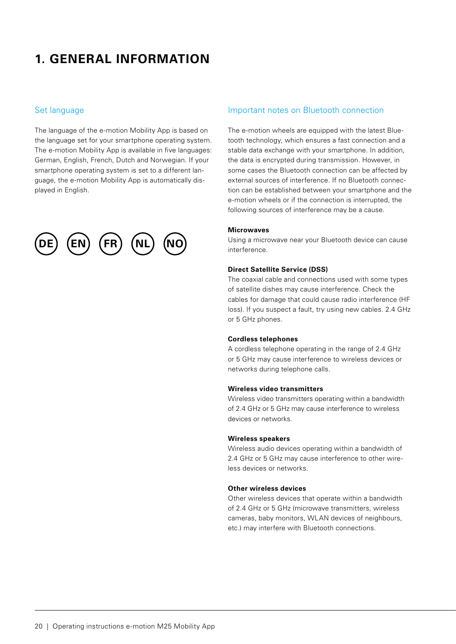### **1. GENERAL INFORMATION**

#### Set language

The language of the e-motion Mobility App is based on the language set for your smartphone operating system. The e-motion Mobility App is available in five languages: German, English, French, Dutch and Norwegian. If your smartphone operating system is set to a different language, the e-motion Mobility App is automatically displayed in English.



#### Important notes on Bluetooth connection

The e-motion wheels are equipped with the latest Bluetooth technology, which ensures a fast connection and a stable data exchange with your smartphone. In addition, the data is encrypted during transmission. However, in some cases the Bluetooth connection can be affected by external sources of interference. If no Bluetooth connection can be established between your smartphone and the e-motion wheels or if the connection is interrupted, the following sources of interference may be a cause.

#### **Microwaves**

Using a microwave near your Bluetooth device can cause interference.

#### **Direct Satellite Service (DSS)**

The coaxial cable and connections used with some types of satellite dishes may cause interference. Check the cables for damage that could cause radio interference (HF loss). If you suspect a fault, try using new cables. 2.4 GHz or 5 GHz phones.

#### **Cordless telephones**

A cordless telephone operating in the range of 2.4 GHz or 5 GHz may cause interference to wireless devices or networks during telephone calls.

#### **Wireless video transmitters**

Wireless video transmitters operating within a bandwidth of 2.4 GHz or 5 GHz may cause interference to wireless devices or networks.

#### **Wireless speakers**

Wireless audio devices operating within a bandwidth of 2.4 GHz or 5 GHz may cause interference to other wireless devices or networks.

#### **Other wireless devices**

Other wireless devices that operate within a bandwidth of 2.4 GHz or 5 GHz (microwave transmitters, wireless cameras, baby monitors, WLAN devices of neighbours, etc.) may interfere with Bluetooth connections.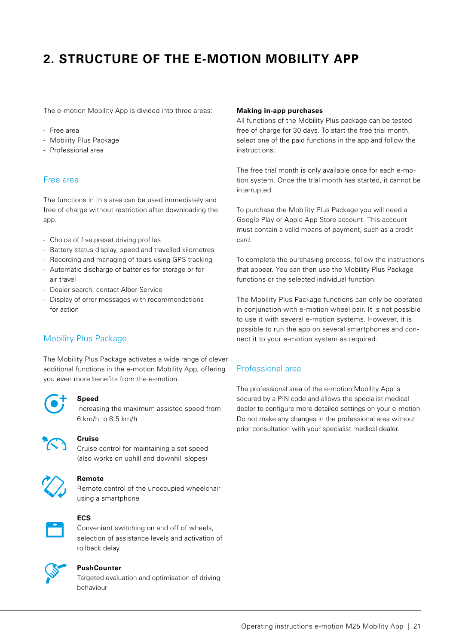### **2. STRUCTURE OF THE E-MOTION MOBILITY APP**

The e-motion Mobility App is divided into three areas:

- Free area
- Mobility Plus Package
- Professional area

#### Free area

The functions in this area can be used immediately and free of charge without restriction after downloading the app.

- Choice of five preset driving profiles
- Battery status display, speed and travelled kilometres
- Recording and managing of tours using GPS tracking
- Automatic discharge of batteries for storage or for air travel
- Dealer search, contact Alber Service
- Display of error messages with recommendations for action

#### Mobility Plus Package

The Mobility Plus Package activates a wide range of clever additional functions in the e-motion Mobility App, offering you even more benefits from the e-motion.



#### **Speed**

 Increasing the maximum assisted speed from 6 km/h to 8.5 km/h



#### **Cruise**

 Cruise control for maintaining a set speed (also works on uphill and downhill slopes)



#### **Remote**

 Remote control of the unoccupied wheelchair using a smartphone



### **ECS**

 Convenient switching on and off of wheels, selection of assistance levels and activation of rollback delay



#### **PushCounter**

 Targeted evaluation and optimisation of driving behaviour

#### **Making in-app purchases**

All functions of the Mobility Plus package can be tested free of charge for 30 days. To start the free trial month, select one of the paid functions in the app and follow the instructions.

The free trial month is only available once for each e-motion system. Once the trial month has started, it cannot be interrupted.

To purchase the Mobility Plus Package you will need a Google Play or Apple App Store account. This account must contain a valid means of payment, such as a credit card.

To complete the purchasing process, follow the instructions that appear. You can then use the Mobility Plus Package functions or the selected individual function.

The Mobility Plus Package functions can only be operated in conjunction with e-motion wheel pair. It is not possible to use it with several e-motion systems. However, it is possible to run the app on several smartphones and connect it to your e-motion system as required.

#### Professional area

The professional area of the e-motion Mobility App is secured by a PIN code and allows the specialist medical dealer to configure more detailed settings on your e-motion. Do not make any changes in the professional area without prior consultation with your specialist medical dealer.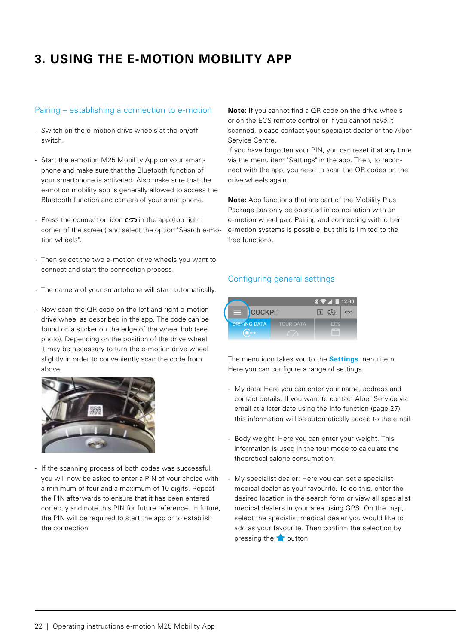### **3. USING THE E-MOTION MOBILITY APP**

#### Pairing – establishing a connection to e-motion

- Switch on the e-motion drive wheels at the on/off switch.
- Start the e-motion M25 Mobility App on your smartphone and make sure that the Bluetooth function of your smartphone is activated. Also make sure that the e-motion mobility app is generally allowed to access the Bluetooth function and camera of your smartphone.
- Press the connection icon  $\infty$  in the app (top right corner of the screen) and select the option "Search e-motion wheels".
- Then select the two e-motion drive wheels you want to connect and start the connection process.
- The camera of your smartphone will start automatically.
- Now scan the QR code on the left and right e-motion drive wheel as described in the app. The code can be found on a sticker on the edge of the wheel hub (see photo). Depending on the position of the drive wheel, it may be necessary to turn the e-motion drive wheel slightly in order to conveniently scan the code from above.



- If the scanning process of both codes was successful, you will now be asked to enter a PIN of your choice with a minimum of four and a maximum of 10 digits. Repeat the PIN afterwards to ensure that it has been entered correctly and note this PIN for future reference. In future, the PIN will be required to start the app or to establish the connection.

**Note:** If you cannot find a QR code on the drive wheels or on the ECS remote control or if you cannot have it scanned, please contact your specialist dealer or the Alber Service Centre.

If you have forgotten your PIN, you can reset it at any time via the menu item "Settings" in the app. Then, to reconnect with the app, you need to scan the QR codes on the drive wheels again.

**Note:** App functions that are part of the Mobility Plus Package can only be operated in combination with an e-motion wheel pair. Pairing and connecting with other e-motion systems is possible, but this is limited to the free functions.

#### Configuring general settings

|   |                                                    |                  |           | $\sqrt[3]{\bullet}$ 12:30 |    |  |
|---|----------------------------------------------------|------------------|-----------|---------------------------|----|--|
| E | <b>COCKPIT</b>                                     |                  | $\vert$ 1 | (A)                       | ငာ |  |
|   | <b>DRIVING DATA</b><br>$\bullet$ $\leftrightarrow$ | <b>TOUR DATA</b> |           | <b>FCS</b>                |    |  |

The menu icon takes you to the **Settings** menu item. Here you can configure a range of settings. **EXAMPLE DATA** TOUR DATA TOUR DATA<br>
The menu icon takes you to the **Settings** menu item.<br>
Here you can configure a range of settings.<br> **Letaire your name, and and the set of the Settings** and contact details. If you want

- contact details. If you want to contact Alber Service via email at a later date using the Info function (page 27), this information will be automatically added to the email.
- Body weight: Here you can enter your weight. This  $\frac{1}{2}$  information is used in the tour mode to calculate the theoretical calorie consumption.
- My specialist dealer: Here you can set a specialist medical dealer as your favourite. To do this, enter the desired location in the search form or view all specialist medical dealers in your area using GPS. On the map, select the specialist medical dealer you would like to add as your favourite. Then confirm the selection by pressing the  $\blacktriangleright$  button.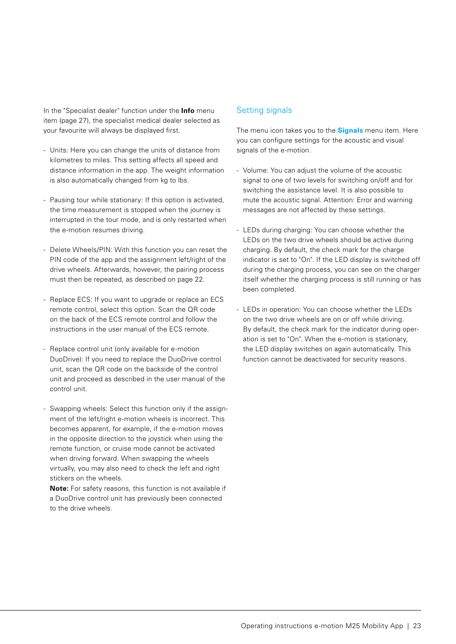In the "Specialist dealer" function under the **Info** menu item (page 27), the specialist medical dealer selected as your favourite will always be displayed first.

- Units: Here you can change the units of distance from kilometres to miles. This setting affects all speed and distance information in the app. The weight information is also automatically changed from kg to lbs.
- Pausing tour while stationary: If this option is activated, the time measurement is stopped when the journey is interrupted in the tour mode, and is only restarted when the e-motion resumes driving.
- Delete Wheels/PIN: With this function you can reset the PIN code of the app and the assignment left/right of the drive wheels. Afterwards, however, the pairing process must then be repeated, as described on page 22.
- Replace ECS: If you want to upgrade or replace an ECS remote control, select this option. Scan the QR code on the back of the ECS remote control and follow the instructions in the user manual of the ECS remote.
- Replace control unit (only available for e-motion DuoDrive): If you need to replace the DuoDrive control unit, scan the QR code on the backside of the control unit and proceed as described in the user manual of the control unit.
- Swapping wheels: Select this function only if the assignment of the left/right e-motion wheels is incorrect. This becomes apparent, for example, if the e-motion moves in the opposite direction to the joystick when using the remote function, or cruise mode cannot be activated when driving forward. When swapping the wheels virtually, you may also need to check the left and right stickers on the wheels.

**Note:** For safety reasons, this function is not available if a DuoDrive control unit has previously been connected to the drive wheels.

#### Setting signals

The menu icon takes you to the **Signals** menu item. Here you can configure settings for the acoustic and visual signals of the e-motion.

- Volume: You can adjust the volume of the acoustic signal to one of two levels for switching on/off and for switching the assistance level. It is also possible to mute the acoustic signal. Attention: Error and warning messages are not affected by these settings.
- LEDs during charging: You can choose whether the LEDs on the two drive wheels should be active during charging. By default, the check mark for the charge indicator is set to "On". If the LED display is switched off during the charging process, you can see on the charger itself whether the charging process is still running or has been completed.
- LEDs in operation: You can choose whether the LEDs on the two drive wheels are on or off while driving. By default, the check mark for the indicator during operation is set to "On". When the e-motion is stationary, the LED display switches on again automatically. This function cannot be deactivated for security reasons.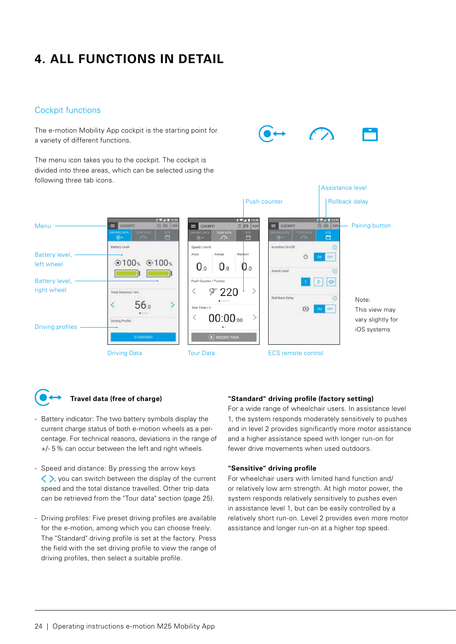### **4. ALL FUNCTIONS IN DETAIL**

#### Cockpit functions

The e-motion Mobility App cockpit is the starting point for a variety of different functions.

The menu icon takes you to the cockpit. The cockpit is divided into three areas, which can be selected using the following three tab icons.





#### **Travel data (free of charge)**

- Battery indicator: The two battery symbols display the current charge status of both e-motion wheels as a percentage. For technical reasons, deviations in the range of +/- 5% can occur between the left and right wheels.
- Speed and distance: By pressing the arrow keys  $\langle \rangle$ , you can switch between the display of the current speed and the total distance travelled. Other trip data can be retrieved from the "Tour data" section (page 25).
- Driving profiles: Five preset driving profiles are available for the e-motion, among which you can choose freely. The "Standard" driving profile is set at the factory. Press the field with the set driving profile to view the range of driving profiles, then select a suitable profile.

#### **"Standard" driving profile (factory setting)**

For a wide range of wheelchair users. In assistance level 1, the system responds moderately sensitively to pushes and in level 2 provides significantly more motor assistance and a higher assistance speed with longer run-on for fewer drive movements when used outdoors.

Assistance level

#### **"Sensitive" driving profile**

For wheelchair users with limited hand function and/ or relatively low arm strength. At high motor power, the system responds relatively sensitively to pushes even in assistance level 1, but can be easily controlled by a relatively short run-on. Level 2 provides even more motor assistance and longer run-on at a higher top speed.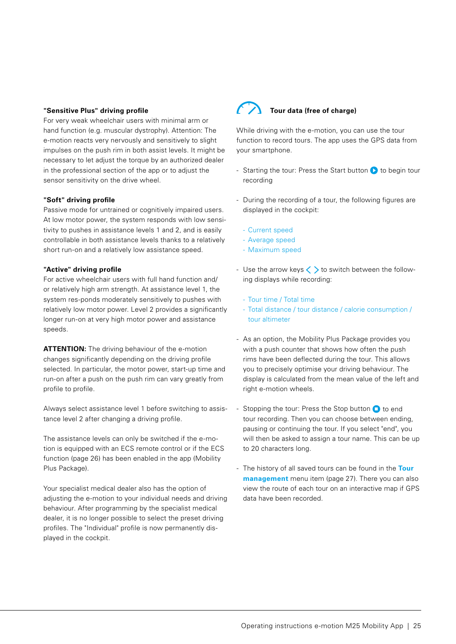#### **"Sensitive Plus" driving profile**

For very weak wheelchair users with minimal arm or hand function (e.g. muscular dystrophy). Attention: The e-motion reacts very nervously and sensitively to slight impulses on the push rim in both assist levels. It might be necessary to let adjust the torque by an authorized dealer in the professional section of the app or to adjust the sensor sensitivity on the drive wheel.

#### **"Soft" driving profile**

Passive mode for untrained or cognitively impaired users. At low motor power, the system responds with low sensitivity to pushes in assistance levels 1 and 2, and is easily controllable in both assistance levels thanks to a relatively short run-on and a relatively low assistance speed.

#### **"Active" driving profile**

For active wheelchair users with full hand function and/ or relatively high arm strength. At assistance level 1, the system res-ponds moderately sensitively to pushes with relatively low motor power. Level 2 provides a significantly longer run-on at very high motor power and assistance speeds.

**ATTENTION:** The driving behaviour of the e-motion changes significantly depending on the driving profile selected. In particular, the motor power, start-up time and run-on after a push on the push rim can vary greatly from profile to profile.

Always select assistance level 1 before switching to assistance level 2 after changing a driving profile.

The assistance levels can only be switched if the e-motion is equipped with an ECS remote control or if the ECS function (page 26) has been enabled in the app (Mobility Plus Package).

Your specialist medical dealer also has the option of adjusting the e-motion to your individual needs and driving behaviour. After programming by the specialist medical dealer, it is no longer possible to select the preset driving profiles. The "Individual" profile is now permanently displayed in the cockpit.

### **Tour data (free of charge)**

While driving with the e-motion, you can use the tour function to record tours. The app uses the GPS data from your smartphone.

- Starting the tour: Press the Start button  $\bullet$  to begin tour recording
- During the recording of a tour, the following figures are displayed in the cockpit:
	- Current speed
	- Average speed
	- Maximum speed
- Use the arrow keys  $\langle \rangle$  to switch between the following displays while recording:
	- Tour time / Total time
	- Total distance / tour distance / calorie consumption / tour altimeter
- As an option, the Mobility Plus Package provides you with a push counter that shows how often the push rims have been deflected during the tour. This allows you to precisely optimise your driving behaviour. The display is calculated from the mean value of the left and right e-motion wheels.
- Stopping the tour: Press the Stop button  $\Box$  to end tour recording. Then you can choose between ending, pausing or continuing the tour. If you select "end", you will then be asked to assign a tour name. This can be up to 20 characters long.
- The history of all saved tours can be found in the **Tour management** menu item (page 27). There you can also view the route of each tour on an interactive map if GPS data have been recorded.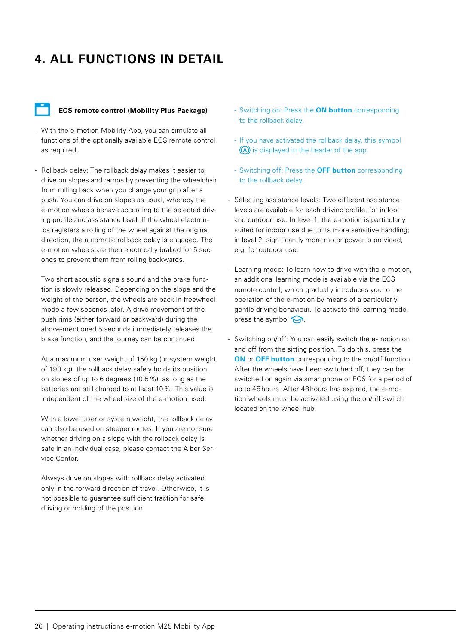### **4. ALL FUNCTIONS IN DETAIL**

#### **ECS remote control (Mobility Plus Package)**

- With the e-motion Mobility App, you can simulate all functions of the optionally available ECS remote control as required.
- Rollback delay: The rollback delay makes it easier to drive on slopes and ramps by preventing the wheelchair from rolling back when you change your grip after a push. You can drive on slopes as usual, whereby the e-motion wheels behave according to the selected driving profile and assistance level. If the wheel electronics registers a rolling of the wheel against the original direction, the automatic rollback delay is engaged. The e-motion wheels are then electrically braked for 5 seconds to prevent them from rolling backwards.

Two short acoustic signals sound and the brake function is slowly released. Depending on the slope and the weight of the person, the wheels are back in freewheel mode a few seconds later. A drive movement of the push rims (either forward or backward) during the above-mentioned 5 seconds immediately releases the brake function, and the journey can be continued.

At a maximum user weight of 150 kg (or system weight of 190 kg), the rollback delay safely holds its position on slopes of up to 6 degrees (10.5%), as long as the batteries are still charged to at least 10%. This value is independent of the wheel size of the e-motion used.

With a lower user or system weight, the rollback delay can also be used on steeper routes. If you are not sure whether driving on a slope with the rollback delay is safe in an individual case, please contact the Alber Service Center.

Always drive on slopes with rollback delay activated only in the forward direction of travel. Otherwise, it is not possible to guarantee sufficient traction for safe driving or holding of the position.

- Switching on: Press the **ON button** corresponding to the rollback delay.
- If you have activated the rollback delay, this symbol  $\mathbf{a}$  is displayed in the header of the app.
- Switching off: Press the **OFF button** corresponding to the rollback delay.
- Selecting assistance levels: Two different assistance levels are available for each driving profile, for indoor and outdoor use. In level 1, the e-motion is particularly suited for indoor use due to its more sensitive handling; in level 2, significantly more motor power is provided. e.g. for outdoor use.
- Learning mode: To learn how to drive with the e-motion, an additional learning mode is available via the ECS remote control, which gradually introduces you to the operation of the e-motion by means of a particularly gentle driving behaviour. To activate the learning mode, press the symbol  $\bigodot$ .
- Switching on/off: You can easily switch the e-motion on and off from the sitting position. To do this, press the **ON** or **OFF button** corresponding to the on/off function. After the wheels have been switched off, they can be switched on again via smartphone or ECS for a period of up to 48 hours. After 48 hours has expired, the e-motion wheels must be activated using the on/off switch located on the wheel hub.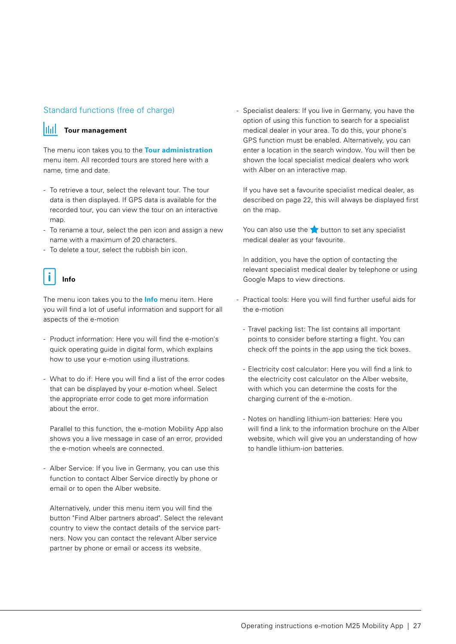#### Standard functions (free of charge)

### **Tour management**

The menu icon takes you to the **Tour administration** menu item. All recorded tours are stored here with a name, time and date.

- To retrieve a tour, select the relevant tour. The tour data is then displayed. If GPS data is available for the recorded tour, you can view the tour on an interactive map.
- To rename a tour, select the pen icon and assign a new name with a maximum of 20 characters.
- To delete a tour, select the rubbish bin icon.

## **Info**

The menu icon takes you to the **Info** menu item. Here you will find a lot of useful information and support for all aspects of the e-motion

- Product information: Here you will find the e-motion's quick operating guide in digital form, which explains how to use your e-motion using illustrations.
- What to do if: Here you will find a list of the error codes that can be displayed by your e-motion wheel. Select the appropriate error code to get more information about the error.

Parallel to this function, the e-motion Mobility App also shows you a live message in case of an error, provided the e-motion wheels are connected.

- Alber Service: If you live in Germany, you can use this function to contact Alber Service directly by phone or email or to open the Alber website.

Alternatively, under this menu item you will find the button "Find Alber partners abroad". Select the relevant country to view the contact details of the service partners. Now you can contact the relevant Alber service partner by phone or email or access its website.

- Specialist dealers: If you live in Germany, you have the option of using this function to search for a specialist medical dealer in your area. To do this, your phone's GPS function must be enabled. Alternatively, you can enter a location in the search window. You will then be shown the local specialist medical dealers who work with Alber on an interactive map.

If you have set a favourite specialist medical dealer, as described on page 22, this will always be displayed first on the map.

You can also use the **button to set any specialist** medical dealer as your favourite.

In addition, you have the option of contacting the relevant specialist medical dealer by telephone or using Google Maps to view directions.

- Practical tools: Here you will find further useful aids for the e-motion
	- Travel packing list: The list contains all important points to consider before starting a flight. You can check off the points in the app using the tick boxes.
	- Electricity cost calculator: Here you will find a link to the electricity cost calculator on the Alber website, with which you can determine the costs for the charging current of the e-motion.
	- Notes on handling lithium-ion batteries: Here you will find a link to the information brochure on the Alber website, which will give you an understanding of how to handle lithium-ion batteries.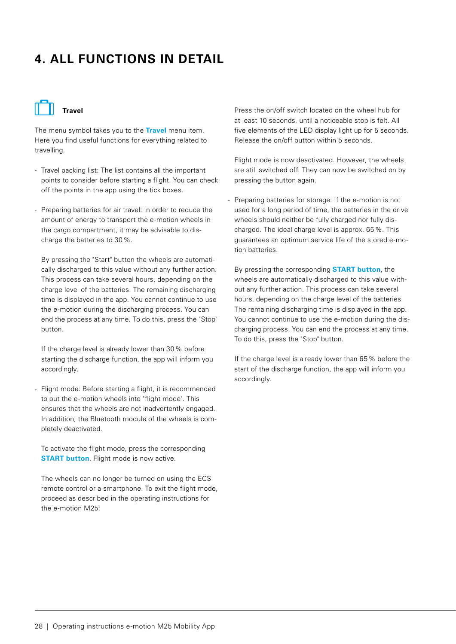### **4. ALL FUNCTIONS IN DETAIL**



#### **Travel**

The menu symbol takes you to the **Travel** menu item. Here you find useful functions for everything related to travelling.

- Travel packing list: The list contains all the important points to consider before starting a flight. You can check off the points in the app using the tick boxes.
- Preparing batteries for air travel: In order to reduce the amount of energy to transport the e-motion wheels in the cargo compartment, it may be advisable to discharge the batteries to 30%.

By pressing the "Start" button the wheels are automatically discharged to this value without any further action. This process can take several hours, depending on the charge level of the batteries. The remaining discharging time is displayed in the app. You cannot continue to use the e-motion during the discharging process. You can end the process at any time. To do this, press the "Stop" button.

If the charge level is already lower than 30 % before starting the discharge function, the app will inform you accordingly.

- Flight mode: Before starting a flight, it is recommended to put the e-motion wheels into "flight mode". This ensures that the wheels are not inadvertently engaged. In addition, the Bluetooth module of the wheels is completely deactivated.

 To activate the flight mode, press the corresponding **START button**. Flight mode is now active.

The wheels can no longer be turned on using the ECS remote control or a smartphone. To exit the flight mode, proceed as described in the operating instructions for the e-motion M25:

Press the on/off switch located on the wheel hub for at least 10 seconds, until a noticeable stop is felt. All five elements of the LED display light up for 5 seconds. Release the on/off button within 5 seconds.

Flight mode is now deactivated. However, the wheels are still switched off. They can now be switched on by pressing the button again.

- Preparing batteries for storage: If the e-motion is not used for a long period of time, the batteries in the drive wheels should neither be fully charged nor fully discharged. The ideal charge level is approx. 65%. This guarantees an optimum service life of the stored e-motion batteries.

By pressing the corresponding **START button**, the wheels are automatically discharged to this value without any further action. This process can take several hours, depending on the charge level of the batteries. The remaining discharging time is displayed in the app. You cannot continue to use the e-motion during the discharging process. You can end the process at any time. To do this, press the "Stop" button.

If the charge level is already lower than 65% before the start of the discharge function, the app will inform you accordingly.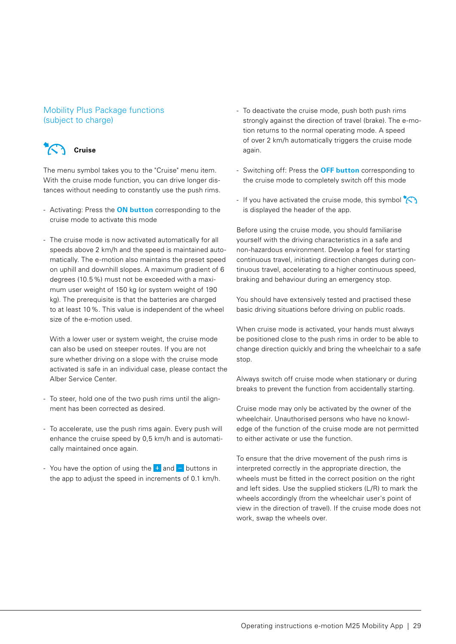#### Mobility Plus Package functions (subject to charge)



The menu symbol takes you to the "Cruise" menu item. With the cruise mode function, you can drive longer distances without needing to constantly use the push rims.

- Activating: Press the **ON button** corresponding to the cruise mode to activate this mode
- The cruise mode is now activated automatically for all speeds above 2 km/h and the speed is maintained automatically. The e-motion also maintains the preset speed on uphill and downhill slopes. A maximum gradient of 6 degrees (10.5%) must not be exceeded with a maximum user weight of 150 kg (or system weight of 190 kg). The prerequisite is that the batteries are charged to at least 10%. This value is independent of the wheel size of the e-motion used.

With a lower user or system weight, the cruise mode can also be used on steeper routes. If you are not sure whether driving on a slope with the cruise mode activated is safe in an individual case, please contact the Alber Service Center.

- To steer, hold one of the two push rims until the alignment has been corrected as desired.
- To accelerate, use the push rims again. Every push will enhance the cruise speed by 0,5 km/h and is automatically maintained once again.
- You have the option of using the  $\pm$  and  $\pm$  buttons in the app to adjust the speed in increments of 0.1 km/h.
- To deactivate the cruise mode, push both push rims strongly against the direction of travel (brake). The e-motion returns to the normal operating mode. A speed of over 2 km/h automatically triggers the cruise mode again.
- Switching off: Press the **OFF button** corresponding to the cruise mode to completely switch off this mode
- If you have activated the cruise mode, this symbol  $\mathcal{D}$ is displayed the header of the app.

Before using the cruise mode, you should familiarise yourself with the driving characteristics in a safe and non-hazardous environment. Develop a feel for starting continuous travel, initiating direction changes during continuous travel, accelerating to a higher continuous speed, braking and behaviour during an emergency stop.

You should have extensively tested and practised these basic driving situations before driving on public roads.

When cruise mode is activated, your hands must always be positioned close to the push rims in order to be able to change direction quickly and bring the wheelchair to a safe stop.

Always switch off cruise mode when stationary or during breaks to prevent the function from accidentally starting.

Cruise mode may only be activated by the owner of the wheelchair. Unauthorised persons who have no knowledge of the function of the cruise mode are not permitted to either activate or use the function.

To ensure that the drive movement of the push rims is interpreted correctly in the appropriate direction, the wheels must be fitted in the correct position on the right and left sides. Use the supplied stickers (L/R) to mark the wheels accordingly (from the wheelchair user's point of view in the direction of travel). If the cruise mode does not work, swap the wheels over.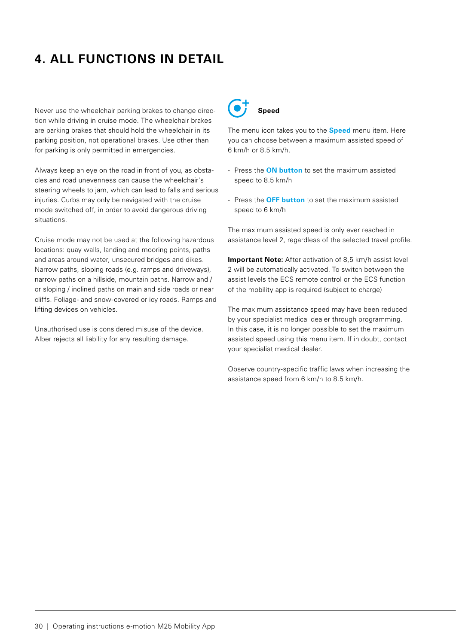### **4. ALL FUNCTIONS IN DETAIL**

Never use the wheelchair parking brakes to change direction while driving in cruise mode. The wheelchair brakes are parking brakes that should hold the wheelchair in its parking position, not operational brakes. Use other than for parking is only permitted in emergencies.

Always keep an eye on the road in front of you, as obstacles and road unevenness can cause the wheelchair's steering wheels to jam, which can lead to falls and serious injuries. Curbs may only be navigated with the cruise mode switched off, in order to avoid dangerous driving situations.

Cruise mode may not be used at the following hazardous locations: quay walls, landing and mooring points, paths and areas around water, unsecured bridges and dikes. Narrow paths, sloping roads (e.g. ramps and driveways), narrow paths on a hillside, mountain paths. Narrow and / or sloping / inclined paths on main and side roads or near cliffs. Foliage- and snow-covered or icy roads. Ramps and lifting devices on vehicles.

Unauthorised use is considered misuse of the device. Alber rejects all liability for any resulting damage.



**Speed**

The menu icon takes you to the **Speed** menu item. Here you can choose between a maximum assisted speed of 6 km/h or 8.5 km/h.

- Press the **ON button** to set the maximum assisted speed to 8.5 km/h
- Press the **OFF button** to set the maximum assisted speed to 6 km/h

The maximum assisted speed is only ever reached in assistance level 2, regardless of the selected travel profile.

**Important Note:** After activation of 8,5 km/h assist level 2 will be automatically activated. To switch between the assist levels the ECS remote control or the ECS function of the mobility app is required (subject to charge)

The maximum assistance speed may have been reduced by your specialist medical dealer through programming. In this case, it is no longer possible to set the maximum assisted speed using this menu item. If in doubt, contact your specialist medical dealer.

Observe country-specific traffic laws when increasing the assistance speed from 6 km/h to 8.5 km/h.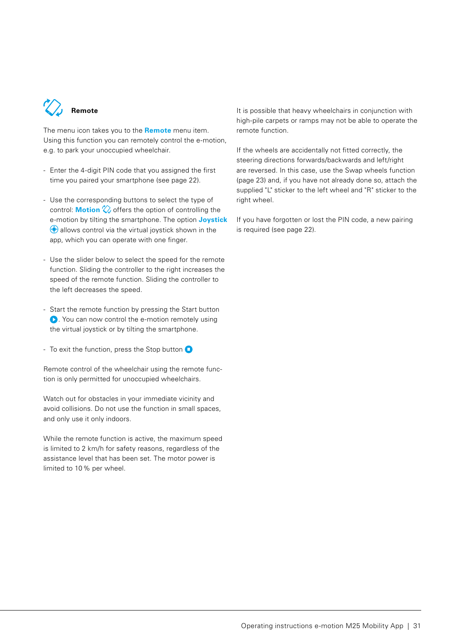

The menu icon takes you to the **Remote** menu item. Using this function you can remotely control the e-motion, e.g. to park your unoccupied wheelchair.

- Enter the 4-digit PIN code that you assigned the first time you paired your smartphone (see page 22).
- Use the corresponding buttons to select the type of control: **Motion**  $\oslash$  offers the option of controlling the e-motion by tilting the smartphone. The option **Joystick**  allows control via the virtual joystick shown in the app, which you can operate with one finger.
- Use the slider below to select the speed for the remote function. Sliding the controller to the right increases the speed of the remote function. Sliding the controller to the left decreases the speed.
- Start the remote function by pressing the Start button **D**. You can now control the e-motion remotely using the virtual joystick or by tilting the smartphone.
- To exit the function, press the Stop button  $\bigcirc$

Remote control of the wheelchair using the remote function is only permitted for unoccupied wheelchairs.

Watch out for obstacles in your immediate vicinity and avoid collisions. Do not use the function in small spaces, and only use it only indoors.

While the remote function is active, the maximum speed is limited to 2 km/h for safety reasons, regardless of the assistance level that has been set. The motor power is limited to 10% per wheel.

It is possible that heavy wheelchairs in conjunction with high-pile carpets or ramps may not be able to operate the remote function.

If the wheels are accidentally not fitted correctly, the steering directions forwards/backwards and left/right are reversed. In this case, use the Swap wheels function (page 23) and, if you have not already done so, attach the supplied "L" sticker to the left wheel and "R" sticker to the right wheel.

If you have forgotten or lost the PIN code, a new pairing is required (see page 22).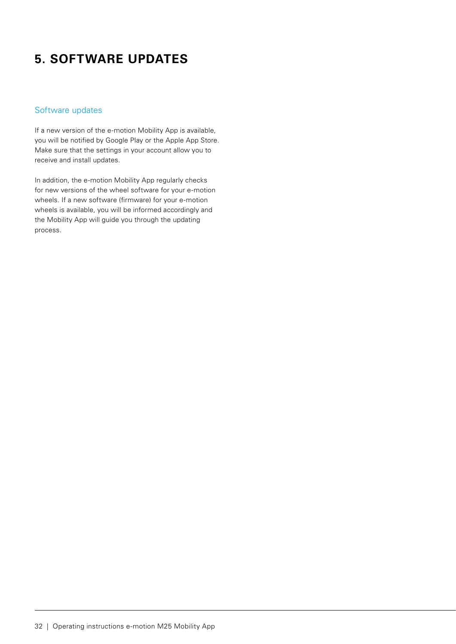### **5. SOFTWARE UPDATES**

#### Software updates

If a new version of the e-motion Mobility App is available, you will be notified by Google Play or the Apple App Store. Make sure that the settings in your account allow you to receive and install updates.

In addition, the e-motion Mobility App regularly checks for new versions of the wheel software for your e-motion wheels. If a new software (firmware) for your e-motion wheels is available, you will be informed accordingly and the Mobility App will guide you through the updating process.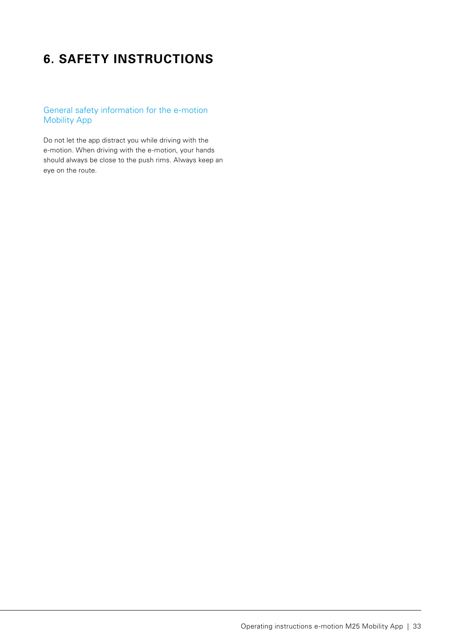### **6. SAFETY INSTRUCTIONS**

#### General safety information for the e-motion Mobility App

Do not let the app distract you while driving with the e-motion. When driving with the e-motion, your hands should always be close to the push rims. Always keep an eye on the route.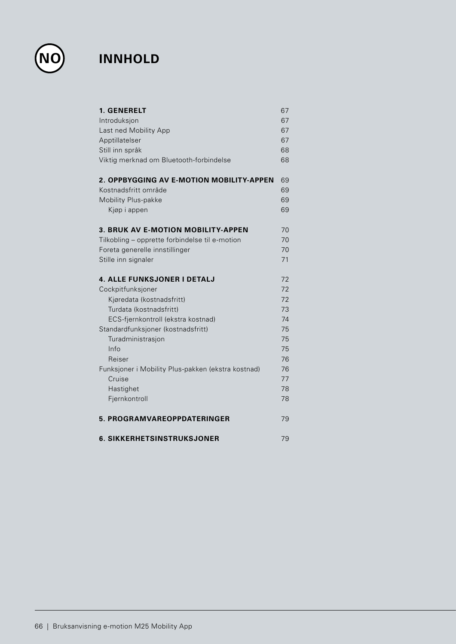### **INNHOLD**

**NO**

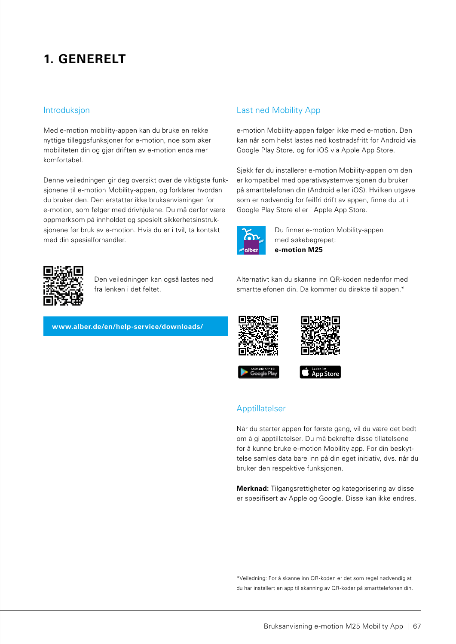### **1. GENERELT**

#### Introduksjon

Med e-motion mobility-appen kan du bruke en rekke nyttige tilleggsfunksjoner for e-motion, noe som øker mobiliteten din og gjør driften av e-motion enda mer komfortabel.

Denne veiledningen gir deg oversikt over de viktigste funksjonene til e-motion Mobility-appen, og forklarer hvordan du bruker den. Den erstatter ikke bruksanvisningen for e-motion, som følger med drivhjulene. Du må derfor være oppmerksom på innholdet og spesielt sikkerhetsinstruksjonene før bruk av e-motion. Hvis du er i tvil, ta kontakt med din spesialforhandler.

Den veiledningen kan også lastes ned fra lenken i det feltet.

**www.alber.de/en/help-service/downloads/**

#### Last ned Mobility App

e-motion Mobility-appen følger ikke med e-motion. Den kan når som helst lastes ned kostnadsfritt for Android via Google Play Store, og for iOS via Apple App Store.

Sjekk før du installerer e-motion Mobility-appen om den er kompatibel med operativsystemversjonen du bruker på smarttelefonen din (Android eller iOS). Hvilken utgave som er nødvendig for feilfri drift av appen, finne du ut i Google Play Store eller i Apple App Store.



Du finner e-motion Mobility-appen med søkebegrepet: **e-motion M25**

Alternativt kan du skanne inn QR-koden nedenfor med smarttelefonen din. Da kommer du direkte til appen.\*







#### Apptillatelser

Når du starter appen for første gang, vil du være det bedt om å gi apptillatelser. Du må bekrefte disse tillatelsene for å kunne bruke e-motion Mobility app. For din beskyttelse samles data bare inn på din eget initiativ, dvs. når du bruker den respektive funksjonen.

**Merknad:** Tilgangsrettigheter og kategorisering av disse er spesifisert av Apple og Google. Disse kan ikke endres.

\*Veiledning: For å skanne inn QR-koden er det som regel nødvendig at du har installert en app til skanning av QR-koder på smarttelefonen din.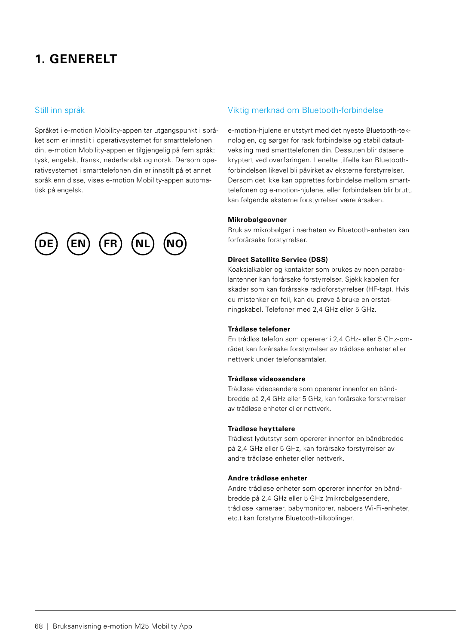### **1. GENERELT**

#### Still inn språk

Språket i e-motion Mobility-appen tar utgangspunkt i språket som er innstilt i operativsystemet for smarttelefonen din. e-motion Mobility-appen er tilgjengelig på fem språk: tysk, engelsk, fransk, nederlandsk og norsk. Dersom operativsystemet i smarttelefonen din er innstilt på et annet språk enn disse, vises e-motion Mobility-appen automatisk på engelsk.



#### Viktig merknad om Bluetooth-forbindelse

e-motion-hjulene er utstyrt med det nyeste Bluetooth-teknologien, og sørger for rask forbindelse og stabil datautveksling med smarttelefonen din. Dessuten blir dataene kryptert ved overføringen. I enelte tilfelle kan Bluetoothforbindelsen likevel bli påvirket av eksterne forstyrrelser. Dersom det ikke kan opprettes forbindelse mellom smarttelefonen og e-motion-hjulene, eller forbindelsen blir brutt, kan følgende eksterne forstyrrelser være årsaken.

#### **Mikrobølgeovner**

Bruk av mikrobølger i nærheten av Bluetooth-enheten kan forforårsake forstyrrelser.

#### **Direct Satellite Service (DSS)**

Koaksialkabler og kontakter som brukes av noen parabolantenner kan forårsake forstyrrelser. Sjekk kabelen for skader som kan forårsake radioforstyrrelser (HF-tap). Hvis du mistenker en feil, kan du prøve å bruke en erstatningskabel. Telefoner med 2,4 GHz eller 5 GHz.

#### **Trådløse telefoner**

En trådløs telefon som opererer i 2,4 GHz- eller 5 GHz-området kan forårsake forstyrrelser av trådløse enheter eller nettverk under telefonsamtaler.

#### **Trådløse videosendere**

Trådløse videosendere som opererer innenfor en båndbredde på 2,4 GHz eller 5 GHz, kan forårsake forstyrrelser av trådløse enheter eller nettverk.

#### **Trådløse høyttalere**

Trådløst lydutstyr som opererer innenfor en båndbredde på 2,4 GHz eller 5 GHz, kan forårsake forstyrrelser av andre trådløse enheter eller nettverk.

#### **Andre trådløse enheter**

Andre trådløse enheter som opererer innenfor en båndbredde på 2,4 GHz eller 5 GHz (mikrobølgesendere, trådløse kameraer, babymonitorer, naboers Wi-Fi-enheter, etc.) kan forstyrre Bluetooth-tilkoblinger.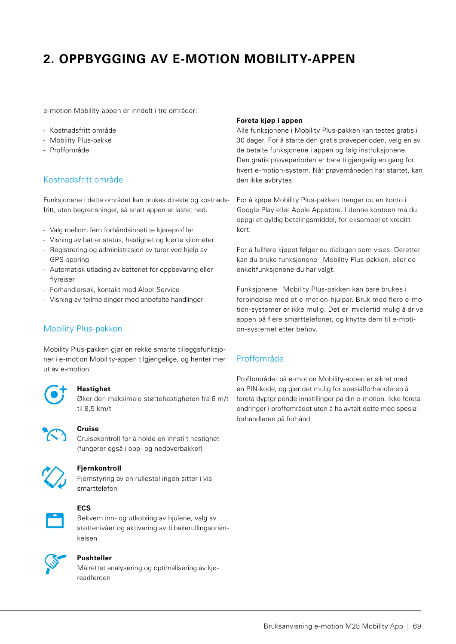### **2. OPPBYGGING AV E-MOTION MOBILITY-APPEN**

e-motion Mobility-appen er inndelt i tre områder:

- Kostnadsfritt område
- Mobility Plus-pakke
- Proffområde

#### Kostnadsfritt område

Funksjonene i dette området kan brukes direkte og kostnadsfritt, uten begrensninger, så snart appen er lastet ned.

- Valg mellom fem forhåndsinnstilte kjøreprofiler
- Visning av batteristatus, hastighet og kjørte kilometer
- Registrering og administrasjon av turer ved hjelp av GPS-sporing
- Automatisk utlading av batteriet for oppbevaring eller flyreiser
- Forhandlersøk, kontakt med Alber Service
- Visning av feilmeldinger med anbefalte handlinger

#### Mobility Plus-pakken

Mobility Plus-pakken gjør en rekke smarte tilleggsfunksjoner i e-motion Mobility-appen tilgjengelige, og henter mer ut av e-motion.



#### **Hastighet**

 Øker den maksimale støttehastigheten fra 6 m/t til 8,5 km/t



#### **Cruise**

 Cruisekontroll for å holde en innstilt hastighet (fungerer også i opp- og nedoverbakker)



#### **Fjernkontroll**

 Fjernstyring av en rullestol ingen sitter i via smarttelefon



#### **ECS**

 Bekvem inn- og utkobling av hjulene, valg av støttenivåer og aktivering av tilbakerullingsorsinkelsen



#### **Pushteller**

 Målrettet analysering og optimalisering av kjøreadferden

#### **Foreta kjøp i appen**

Alle funksjonene i Mobility Plus-pakken kan testes gratis i 30 dager. For å starte den gratis prøveperioden, velg en av de betalte funksjonene i appen og følg instruksjonene. Den gratis prøveperioden er bare tilgjengelig en gang for hvert e-motion-system. Når prøvemåneden har startet, kan den ikke avbrytes.

For å kjøpe Mobility Plus-pakken trenger du en konto i Google Play eller Apple Appstore. I denne kontoen må du oppgi et gyldig betalingsmiddel, for eksempel et kredittkort.

For å fullføre kjøpet følger du dialogen som vises. Deretter kan du bruke funksjonene i Mobility Plus-pakken, eller de enkeltfunksjonene du har valgt.

Funksjonene i Mobility Plus-pakken kan bare brukes i forbindelse med et e-motion-hjulpar. Bruk med flere e-motion-systemer er ikke mulig. Det er imidlertid mulig å drive appen på flere smarttelefoner, og knytte dem til e-motion-systemet etter behov.

#### Proffområde

Proffområdet på e-motion Mobility-appen er sikret med en PIN-kode, og gjør det mulig for spesialforhandleren å foreta dyptgripende innstillinger på din e-motion. Ikke foreta endringer i proffområdet uten å ha avtalt dette med spesialforhandleren på forhånd.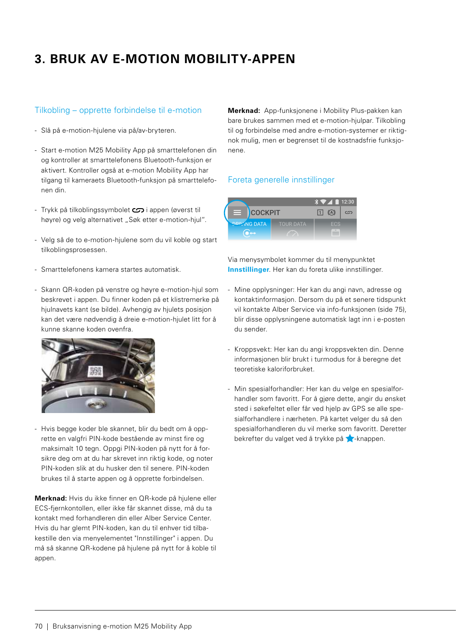### **3. BRUK AV E-MOTION MOBILITY-APPEN**

#### Tilkobling – opprette forbindelse til e-motion

- Slå på e-motion-hjulene via på/av-bryteren.
- Start e-motion M25 Mobility App på smarttelefonen din og kontroller at smarttelefonens Bluetooth-funksjon er aktivert. Kontroller også at e-motion Mobility App har tilgang til kameraets Bluetooth-funksjon på smarttelefonen din.
- Trykk på tilkoblingssymbolet i appen (øverst til høyre) og velg alternativet "Søk etter e-motion-hjul".
- Velg så de to e-motion-hjulene som du vil koble og start tilkoblingsprosessen.
- Smarttelefonens kamera startes automatisk.
- Skann QR-koden på venstre og høyre e-motion-hjul som beskrevet i appen. Du finner koden på et klistremerke på hjulnavets kant (se bilde). Avhengig av hjulets posisjon kan det være nødvendig å dreie e-motion-hjulet litt for å kunne skanne koden ovenfra.



- Hvis begge koder ble skannet, blir du bedt om å opprette en valgfri PIN-kode bestående av minst fire og maksimalt 10 tegn. Oppgi PIN-koden på nytt for å forsikre deg om at du har skrevet inn riktig kode, og noter PIN-koden slik at du husker den til senere. PIN-koden brukes til å starte appen og å opprette forbindelsen.

**Merknad:** Hvis du ikke finner en QR-kode på hjulene eller ECS-fjernkontollen, eller ikke får skannet disse, må du ta kontakt med forhandleren din eller Alber Service Center. Hvis du har glemt PIN-koden, kan du til enhver tid tilbakestille den via menyelementet "Innstillinger" i appen. Du må så skanne QR-kodene på hjulene på nytt for å koble til appen.

**Merknad:** App-funksjonene i Mobility Plus-pakken kan bare brukes sammen med et e-motion-hjulpar. Tilkobling til og forbindelse med andre e-motion-systemer er riktignok mulig, men er begrenset til de kostnadsfrie funksjonene.

#### Foreta generelle innstillinger

|   |                     |                  |  | $\sqrt[3]{\bullet}$ 12:30 |    |
|---|---------------------|------------------|--|---------------------------|----|
| ⊨ | <b>COCKPIT</b>      |                  |  | (A)                       | ငာ |
|   | <b>DRIVING DATA</b> | <b>TOUR DATA</b> |  | <b>ECS</b>                |    |

Via menysymbolet kommer du til menypunktet **Innstillinger**. Her kan du foreta ulike innstillinger. **LECS**<br> **C**<br> **Lectron C**<br> **Lectron C**<br> **Lectron C**<br> **Lectron C**<br> **Lectron C**<br> **Lectron C**<br> **Lectron C**<br> **Lectron C**<br> **Lectron C**<br> **Lectron C**<br> **Lectron C**<br> **Lectron C**<br> **Lectron C**<br> **Lectron C**<br> **Lectron C**<br> **Lectron C**<br>

- Mine opplysninger: Her kan du angi navn, adresse og<br>kontaktinformasion, Dersom du på et senere tidspunk kontaktinformasjon. Dersom du på et senere tidspunkt vil kontakte Alber Service via info-funksjonen (side 75), blir disse opplysningene automatisk lagt inn i e-posten du sender.
- Kroppsvekt: Her kan du angi kroppsvekten din. Denne informasjonen blir brukt i turmodus for å beregne det<br>teoretiske kaloriforbruket. teoretiske kaloriforbruket.
- Min spesialforhandler: Her kan du velge en spesialforhandler som favoritt. For å gjøre dette, angir du ønsket sted i søkefeltet eller får ved hjelp av GPS se alle spesialforhandlere i nærheten. På kartet velger du så den spesialforhandleren du vil merke som favoritt. Deretter bekrefter du valget ved å trykke på  $\blacklozenge$ -knappen.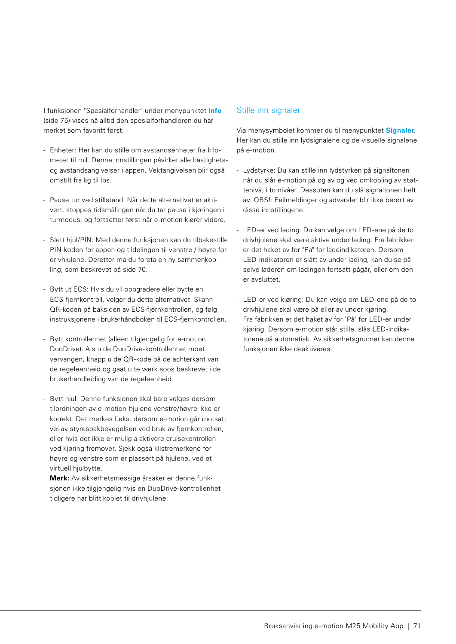I funksjonen "Spesialforhandler" under menypunktet **Info** (side 75) vises nå alltid den spesialforhandleren du har merket som favoritt først.

- Enheter: Her kan du stille om avstandsenheter fra kilometer til mil. Denne innstillingen påvirker alle hastighetsog avstandsangivelser i appen. Vektangivelsen blir også omstilt fra kg til lbs.
- Pause tur ved stillstand: Når dette alternativet er aktivert, stoppes tidsmålingen når du tar pause i kjøringen i turmodus, og fortsetter først når e-motion kjører videre.
- Slett hjul/PIN: Med denne funksjonen kan du tilbakestille PIN-koden for appen og tildelingen til venstre / høyre for drivhjulene. Deretter må du foreta en ny sammenkobling, som beskrevet på side 70.
- Bytt ut ECS: Hvis du vil oppgradere eller bytte en ECS-fjernkontroll, velger du dette alternativet. Skann QR-koden på baksiden av ECS-fjernkontrollen, og følg instruksjonene i brukerhåndboken til ECS-fjernkontrollen.
- Bytt kontrollenhet (alleen tilgjengelig for e-motion DuoDrive): Als u de DuoDrive-kontrollenhet moet vervangen, knapp u de QR-kode på de achterkant van de regeleenheid og gaat u te werk soos beskrevet i de brukerhandleiding van de regeleenheid.
- Bytt hjul: Denne funksjonen skal bare velges dersom tilordningen av e-motion-hjulene venstre/høyre ikke er korrekt. Det merkes f.eks. dersom e-motion går motsatt vei av styrespakbevegelsen ved bruk av fjernkontrollen, eller hvis det ikke er mulig å aktivere cruisekontrollen ved kjøring fremover. Sjekk også klistremerkene for høyre og venstre som er plassert på hjulene, ved et virtuell hjulbytte.

**Merk:** Av sikkerhetsmessige årsaker er denne funksjonen ikke tilgjengelig hvis en DuoDrive-kontrollenhet tidligere har blitt koblet til drivhjulene.

#### Stille inn signaler

Via menysymbolet kommer du til menypunktet **Signaler**. Her kan du stille inn lydsignalene og de visuelle signalene på e-motion.

- Lydstyrke: Du kan stille inn lydstyrken på signaltonen når du slår e-motion på og av og ved omkobling av støttenivå, i to nivåer. Dessuten kan du slå signaltonen helt av. OBS!: Feilmeldinger og advarsler blir ikke berørt av disse innstillingene.
- LED-er ved lading: Du kan velge om LED-ene på de to drivhjulene skal være aktive under lading. Fra fabrikken er det haket av for "På" for ladeindikatoren. Dersom LED-indikatoren er slått av under lading, kan du se på selve laderen om ladingen fortsatt pågår, eller om den er avsluttet.
- LED-er ved kjøring: Du kan velge om LED-ene på de to drivhjulene skal være på eller av under kjøring. Fra fabrikken er det haket av for "På" for LED-er under kjøring. Dersom e-motion står stille, slås LED-indikatorene på automatisk. Av sikkerhetsgrunner kan denne funksjonen ikke deaktiveres.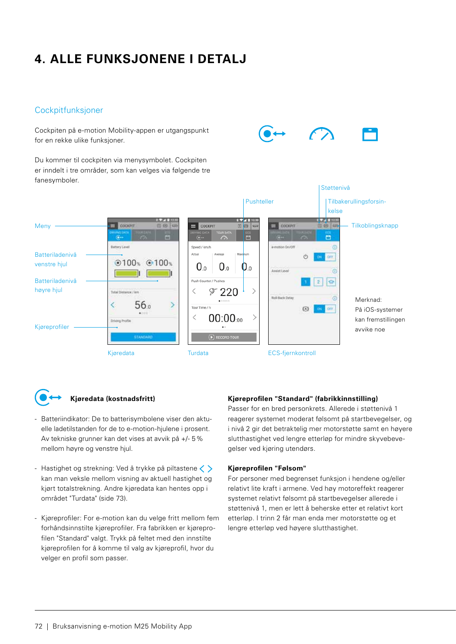### **4. ALLE FUNKSJONENE I DETALJ**

#### **Cockpitfunksjoner**

Cockpiten på e-motion Mobility-appen er utgangspunkt for en rekke ulike funksjoner.

Du kommer til cockpiten via menysymbolet. Cockpiten er inndelt i tre områder, som kan velges via følgende tre fanesymboler.





#### **Kjøredata (kostnadsfritt)**

- Batteriindikator: De to batterisymbolene viser den aktuelle ladetilstanden for de to e-motion-hjulene i prosent. Av tekniske grunner kan det vises at avvik på +/- 5% mellom høyre og venstre hjul.
- Hastighet og strekning: Ved å trykke på piltastene  $\langle \rangle$ kan man veksle mellom visning av aktuell hastighet og kjørt totalstrekning. Andre kjøredata kan hentes opp i området "Turdata" (side 73).
- Kjøreprofiler: For e-motion kan du velge fritt mellom fem forhåndsinnstilte kjøreprofiler. Fra fabrikken er kjøreprofilen "Standard" valgt. Trykk på feltet med den innstilte kjøreprofilen for å komme til valg av kjøreprofil, hvor du velger en profil som passer.

#### **Kjøreprofilen "Standard" (fabrikkinnstilling)**

Passer for en bred personkrets. Allerede i støttenivå 1 reagerer systemet moderat følsomt på startbevegelser, og i nivå 2 gir det betraktelig mer motorstøtte samt en høyere slutthastighet ved lengre etterløp for mindre skyvebevegelser ved kjøring utendørs.

Støttenivå

#### **Kjøreprofilen "Følsom"**

For personer med begrenset funksjon i hendene og/eller relativt lite kraft i armene. Ved høy motoreffekt reagerer systemet relativt følsomt på startbevegelser allerede i støttenivå 1, men er lett å beherske etter et relativt kort etterløp. I trinn 2 får man enda mer motorstøtte og et lengre etterløp ved høyere slutthastighet.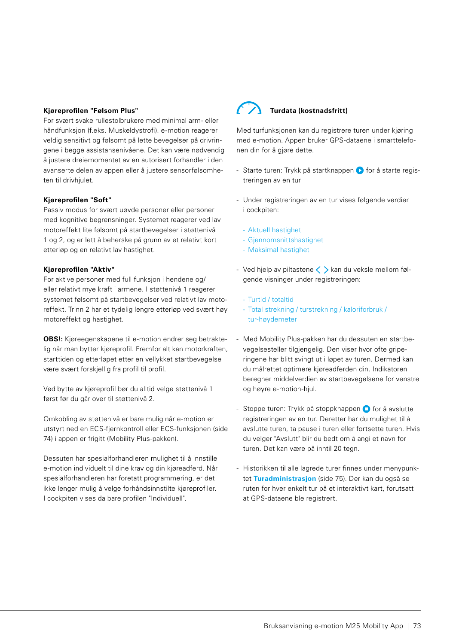#### **Kjøreprofilen "Følsom Plus"**

For svært svake rullestolbrukere med minimal arm- eller håndfunksjon (f.eks. Muskeldystrofi). e-motion reagerer veldig sensitivt og følsomt på lette bevegelser på drivringene i begge assistansenivåene. Det kan være nødvendig å justere dreiemomentet av en autorisert forhandler i den avanserte delen av appen eller å justere sensorfølsomheten til drivhjulet.

#### **Kjøreprofilen "Soft"**

Passiv modus for svært uøvde personer eller personer med kognitive begrensninger. Systemet reagerer ved lav motoreffekt lite følsomt på startbevegelser i støttenivå 1 og 2, og er lett å beherske på grunn av et relativt kort etterløp og en relativt lav hastighet.

#### **Kjøreprofilen "Aktiv"**

For aktive personer med full funksjon i hendene og/ eller relativt mye kraft i armene. I støttenivå 1 reagerer systemet følsomt på startbevegelser ved relativt lav motoreffekt. Trinn 2 har et tydelig lengre etterløp ved svært høy motoreffekt og hastighet.

**OBS!:** Kjøreegenskapene til e-motion endrer seg betraktelig når man bytter kjøreprofil. Fremfor alt kan motorkraften, starttiden og etterløpet etter en vellykket startbevegelse være svært forskjellig fra profil til profil.

Ved bytte av kjøreprofil bør du alltid velge støttenivå 1 først før du går over til støttenivå 2.

Omkobling av støttenivå er bare mulig når e-motion er utstyrt ned en ECS-fjernkontroll eller ECS-funksjonen (side 74) i appen er frigitt (Mobility Plus-pakken).

Dessuten har spesialforhandleren mulighet til å innstille e-motion individuelt til dine krav og din kjøreadferd. Når spesialforhandleren har foretatt programmering, er det ikke lenger mulig å velge forhåndsinnstilte kjøreprofiler. I cockpiten vises da bare profilen "Individuell".

### **Turdata (kostnadsfritt)**

Med turfunksjonen kan du registrere turen under kjøring med e-motion. Appen bruker GPS-dataene i smarttelefonen din for å gjøre dette.

- Starte turen: Trykk på startknappen  $\bullet$  for å starte registreringen av en tur
- Under registreringen av en tur vises følgende verdier i cockpiten:
	- Aktuell hastighet
	- Gjennomsnittshastighet
	- Maksimal hastighet
- Ved hjelp av piltastene  $\langle \rangle$  kan du veksle mellom følgende visninger under registreringen:
	- Turtid / totaltid
	- Total strekning / turstrekning / kaloriforbruk / tur-høydemeter
- Med Mobility Plus-pakken har du dessuten en startbevegelsesteller tilgjengelig. Den viser hvor ofte griperingene har blitt svingt ut i løpet av turen. Dermed kan du målrettet optimere kjøreadferden din. Indikatoren beregner middelverdien av startbevegelsene for venstre og høyre e-motion-hjul.
- Stoppe turen: Trykk på stoppknappen  $\bigcap$  for å avslutte registreringen av en tur. Deretter har du mulighet til å avslutte turen, ta pause i turen eller fortsette turen. Hvis du velger "Avslutt" blir du bedt om å angi et navn for turen. Det kan være på inntil 20 tegn.
- Historikken til alle lagrede turer finnes under menypunktet **Turadministrasjon** (side 75). Der kan du også se ruten for hver enkelt tur på et interaktivt kart, forutsatt at GPS-dataene ble registrert.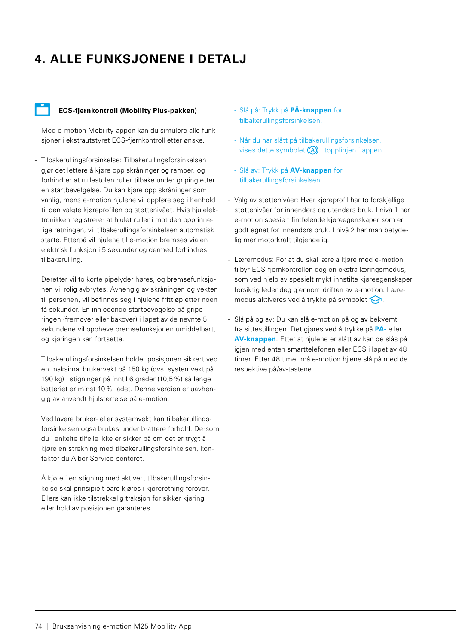### **4. ALLE FUNKSJONENE I DETALJ**



#### **ECS-fjernkontroll (Mobility Plus-pakken)**

- Med e-motion Mobility-appen kan du simulere alle funksjoner i ekstrautstyret ECS-fjernkontroll etter ønske.
- Tilbakerullingsforsinkelse: Tilbakerullingsforsinkelsen gjør det lettere å kjøre opp skråninger og ramper, og forhindrer at rullestolen ruller tilbake under griping etter en startbevelgelse. Du kan kjøre opp skråninger som vanlig, mens e-motion hjulene vil oppføre seg i henhold til den valgte kjøreprofilen og støttenivået. Hvis hjulelektronikken registrerer at hjulet ruller i mot den opprinnelige retningen, vil tilbakerullingsforsinkelsen automatisk starte. Etterpå vil hjulene til e-motion bremses via en elektrisk funksjon i 5 sekunder og dermed forhindres tilbakerulling.

Deretter vil to korte pipelyder høres, og bremsefunksjonen vil rolig avbrytes. Avhengig av skråningen og vekten til personen, vil befinnes seg i hjulene frittløp etter noen få sekunder. En innledende startbevegelse på griperingen (fremover eller bakover) i løpet av de nevnte 5 sekundene vil oppheve bremsefunksjonen umiddelbart, og kjøringen kan fortsette.

Tilbakerullingsforsinkelsen holder posisjonen sikkert ved en maksimal brukervekt på 150 kg (dvs. systemvekt på 190 kg) i stigninger på inntil 6 grader (10,5%) så lenge batteriet er minst 10% ladet. Denne verdien er uavhengig av anvendt hjulstørrelse på e-motion.

Ved lavere bruker- eller systemvekt kan tilbakerullingsforsinkelsen også brukes under brattere forhold. Dersom du i enkelte tilfelle ikke er sikker på om det er trygt å kjøre en strekning med tilbakerullingsforsinkelsen, kontakter du Alber Service-senteret.

Å kjøre i en stigning med aktivert tilbakerullingsforsinkelse skal prinsipielt bare kjøres i kjøreretning forover. Ellers kan ikke tilstrekkelig traksjon for sikker kjøring eller hold av posisjonen garanteres.

- Slå på: Trykk på **PÅ-knappen** for tilbakerullingsforsinkelsen.
- Når du har slått på tilbakerullingsforsinkelsen, vises dette symbolet  $(A)$  i topplinjen i appen.
- Slå av: Trykk på **AV-knappen** for tilbakerullingsforsinkelsen.
- Valg av støttenivåer: Hver kjøreprofil har to forskjellige støttenivåer for innendørs og utendørs bruk. I nivå 1 har e-motion spesielt fintfølende kjøreegenskaper som er godt egnet for innendørs bruk. I nivå 2 har man betydelig mer motorkraft tilgjengelig.
- Læremodus: For at du skal lære å kjøre med e-motion, tilbyr ECS-fjernkontrollen deg en ekstra læringsmodus, som ved hjelp av spesielt mykt innstilte kjøreegenskaper forsiktig leder deg gjennom driften av e-motion. Læremodus aktiveres ved å trykke på symbolet  $\bigodot$ .
- Slå på og av: Du kan slå e-motion på og av bekvemt fra sittestillingen. Det gjøres ved å trykke på **PÅ-** eller **AV-knappen**. Etter at hjulene er slått av kan de slås på igjen med enten smarttelefonen eller ECS i løpet av 48 timer. Etter 48 timer må e-motion.hjlene slå på med de respektive på/av-tastene.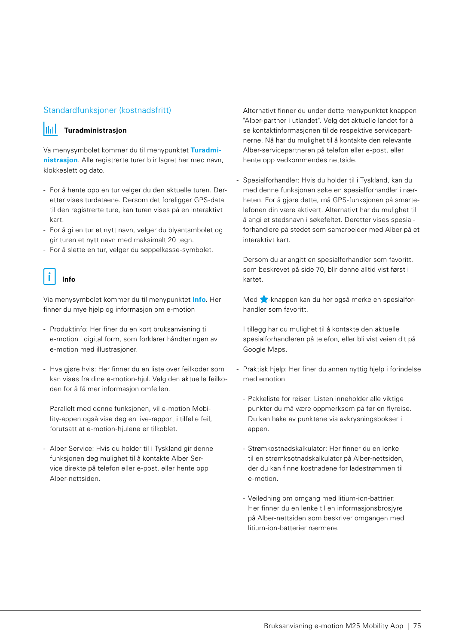#### Standardfunksjoner (kostnadsfritt)

### **Turadministrasjon**

Va menysymbolet kommer du til menypunktet **Turadministrasjon**. Alle registrerte turer blir lagret her med navn, klokkeslett og dato.

- For å hente opp en tur velger du den aktuelle turen. Deretter vises turdataene. Dersom det foreligger GPS-data til den registrerte ture, kan turen vises på en interaktivt kart.
- For å gi en tur et nytt navn, velger du blyantsmbolet og gir turen et nytt navn med maksimalt 20 tegn.
- For å slette en tur, velger du søppelkasse-symbolet.

# **Info**

Via menysymbolet kommer du til menypunktet **Info**. Her finner du mye hjelp og informasjon om e-motion

- Produktinfo: Her finer du en kort bruksanvisning til e-motion i digital form, som forklarer håndteringen av e-motion med illustrasjoner.
- Hva gjøre hvis: Her finner du en liste over feilkoder som kan vises fra dine e-motion-hjul. Velg den aktuelle feilkoden for å få mer informasjon omfeilen.

Parallelt med denne funksjonen, vil e-motion Mobility-appen også vise deg en live-rapport i tilfelle feil, forutsatt at e-motion-hjulene er tilkoblet.

- Alber Service: Hvis du holder til i Tyskland gir denne funksjonen deg mulighet til å kontakte Alber Service direkte på telefon eller e-post, eller hente opp Alber-nettsiden.

Alternativt finner du under dette menypunktet knappen "Alber-partner i utlandet". Velg det aktuelle landet for å se kontaktinformasjonen til de respektive servicepartnerne. Nå har du mulighet til å kontakte den relevante Alber-servicepartneren på telefon eller e-post, eller hente opp vedkommendes nettside.

- Spesialforhandler: Hvis du holder til i Tyskland, kan du med denne funksjonen søke en spesialforhandler i nærheten. For å gjøre dette, må GPS-funksjonen på smartelefonen din være aktivert. Alternativt har du mulighet til å angi et stedsnavn i søkefeltet. Deretter vises spesialforhandlere på stedet som samarbeider med Alber på et interaktivt kart.

Dersom du ar angitt en spesialforhandler som favoritt, som beskrevet på side 70, blir denne alltid vist først i kartet.

Med **\***-knappen kan du her også merke en spesialforhandler som favoritt.

I tillegg har du mulighet til å kontakte den aktuelle spesialforhandleren på telefon, eller bli vist veien dit på Google Maps.

- Praktisk hjelp: Her finer du annen nyttig hjelp i forindelse med emotion
	- Pakkeliste for reiser: Listen inneholder alle viktige punkter du må være oppmerksom på før en flyreise. Du kan hake av punktene via avkrysningsbokser i appen.
	- Strømkostnadskalkulator: Her finner du en lenke til en strømksotnadskalkulator på Alber-nettsiden, der du kan finne kostnadene for ladestrømmen til e-motion.
	- Veiledning om omgang med litium-ion-battrier: Her finner du en lenke til en informasjonsbrosjyre på Alber-nettsiden som beskriver omgangen med litium-ion-batterier nærmere.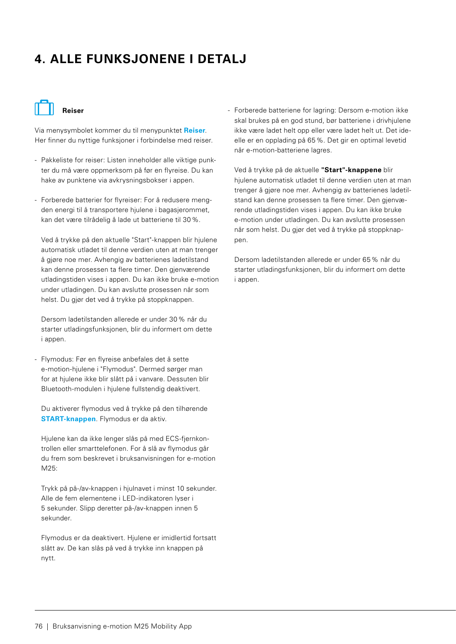### **4. ALLE FUNKSJONENE I DETALJ**



**Reiser**

Via menysymbolet kommer du til menypunktet **Reiser**. Her finner du nyttige funksjoner i forbindelse med reiser.

- Pakkeliste for reiser: Listen inneholder alle viktige punkter du må være oppmerksom på før en flyreise. Du kan hake av punktene via avkrysningsbokser i appen.
- Forberede batterier for flyreiser: For å redusere mengden energi til å transportere hjulene i bagasjerommet, kan det være tilrådelig å lade ut batteriene til 30%.

Ved å trykke på den aktuelle "Start"-knappen blir hjulene automatisk utladet til denne verdien uten at man trenger å gjøre noe mer. Avhengig av batterienes ladetilstand kan denne prosessen ta flere timer. Den gjenværende utladingstiden vises i appen. Du kan ikke bruke e-motion under utladingen. Du kan avslutte prosessen når som helst. Du gjør det ved å trykke på stoppknappen.

Dersom ladetilstanden allerede er under 30% når du starter utladingsfunksjonen, blir du informert om dette i appen.

- Flymodus: Før en flyreise anbefales det å sette e-motion-hjulene i "Flymodus". Dermed sørger man for at hjulene ikke blir slått på i vanvare. Dessuten blir Bluetooth-modulen i hjulene fullstendig deaktivert.

 Du aktiverer flymodus ved å trykke på den tilhørende **START-knappen**. Flymodus er da aktiv.

Hjulene kan da ikke lenger slås på med ECS-fjernkontrollen eller smarttelefonen. For å slå av flymodus går du frem som beskrevet i bruksanvisningen for e-motion M25:

Trykk på på-/av-knappen i hjulnavet i minst 10 sekunder. Alle de fem elementene i LED-indikatoren lyser i 5 sekunder. Slipp deretter på-/av-knappen innen 5 sekunder.

Flymodus er da deaktivert. Hjulene er imidlertid fortsatt slått av. De kan slås på ved å trykke inn knappen på nytt.

- Forberede batteriene for lagring: Dersom e-motion ikke skal brukes på en god stund, bør batteriene i drivhjulene ikke være ladet helt opp eller være ladet helt ut. Det ideelle er en opplading på 65%. Det gir en optimal levetid når e-motion-batteriene lagres.

Ved å trykke på de aktuelle **"Start"-knappene** blir hjulene automatisk utladet til denne verdien uten at man trenger å gjøre noe mer. Avhengig av batterienes ladetilstand kan denne prosessen ta flere timer. Den gjenværende utladingstiden vises i appen. Du kan ikke bruke e-motion under utladingen. Du kan avslutte prosessen når som helst. Du gjør det ved å trykke på stoppknappen.

Dersom ladetilstanden allerede er under 65% når du starter utladingsfunksjonen, blir du informert om dette i appen.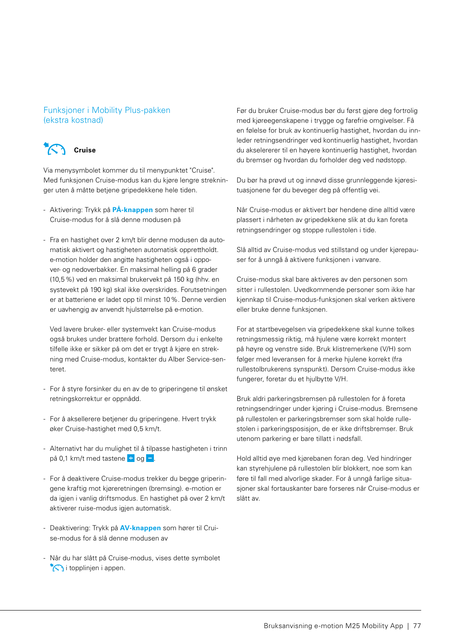#### Funksjoner i Mobility Plus-pakken (ekstra kostnad)



Via menysymbolet kommer du til menypunktet "Cruise". Med funksjonen Cruise-modus kan du kjøre lengre strekninger uten å måtte betjene gripedekkene hele tiden.

- Aktivering: Trykk på **PÅ-knappen** som hører til Cruise-modus for å slå denne modusen på
- Fra en hastighet over 2 km/t blir denne modusen da automatisk aktivert og hastigheten automatisk opprettholdt. e-motion holder den angitte hastigheten også i oppover- og nedoverbakker. En maksimal helling på 6 grader (10,5%) ved en maksimal brukervekt på 150 kg (hhv. en systevekt på 190 kg) skal ikke overskrides. Forutsetningen er at batteriene er ladet opp til minst 10%. Denne verdien er uavhengig av anvendt hjulstørrelse på e-motion.

Ved lavere bruker- eller systemvekt kan Cruise-modus også brukes under brattere forhold. Dersom du i enkelte tilfelle ikke er sikker på om det er trygt å kjøre en strekning med Cruise-modus, kontakter du Alber Service-senteret.

- For å styre forsinker du en av de to griperingene til ønsket retningskorrektur er oppnådd.
- For å aksellerere betjener du griperingene. Hvert trykk øker Cruise-hastighet med 0,5 km/t.
- Alternativt har du mulighet til å tilpasse hastigheten i trinn på 0,1 km/t med tastene  $+$  og  $-$ .
- For å deaktivere Cruise-modus trekker du begge griperingene kraftig mot kjøreretningen (bremsing). e-motion er da igjen i vanlig driftsmodus. En hastighet på over 2 km/t aktiverer ruise-modus igjen automatisk.
- Deaktivering: Trykk på **AV-knappen** som hører til Cruise-modus for å slå denne modusen av
- Når du har slått på Cruise-modus, vises dette symbolet  $\sum$ i topplinjen i appen.

Før du bruker Cruise-modus bør du først gjøre deg fortrolig med kjøreegenskapene i trygge og farefrie omgivelser. Få en følelse for bruk av kontinuerlig hastighet, hvordan du innleder retningsendringer ved kontinuerlig hastighet, hvordan du akselererer til en høyere kontinuerlig hastighet, hvordan du bremser og hvordan du forholder deg ved nødstopp.

Du bør ha prøvd ut og innøvd disse grunnleggende kjøresituasjonene før du beveger deg på offentlig vei.

Når Cruise-modus er aktivert bør hendene dine alltid være plassert i nårheten av gripedekkene slik at du kan foreta retningsendringer og stoppe rullestolen i tide.

Slå alltid av Cruise-modus ved stillstand og under kjørepauser for å unngå å aktivere funksjonen i vanvare.

Cruise-modus skal bare aktiveres av den personen som sitter i rullestolen. Uvedkommende personer som ikke har kjennkap til Cruise-modus-funksjonen skal verken aktivere eller bruke denne funksjonen.

For at startbevegelsen via gripedekkene skal kunne tolkes retningsmessig riktig, må hjulene være korrekt montert på høyre og venstre side. Bruk klistremerkene (V/H) som følger med leveransen for å merke hjulene korrekt (fra rullestolbrukerens synspunkt). Dersom Cruise-modus ikke fungerer, foretar du et hjulbytte V/H.

Bruk aldri parkeringsbremsen på rullestolen for å foreta retningsendringer under kjøring i Cruise-modus. Bremsene på rullestolen er parkeringsbremser som skal holde rullestolen i parkeringsposisjon, de er ikke driftsbremser. Bruk utenom parkering er bare tillatt i nødsfall.

Hold alltid øye med kjørebanen foran deg. Ved hindringer kan styrehjulene på rullestolen blir blokkert, noe som kan føre til fall med alvorlige skader. For å unngå farlige situasjoner skal fortauskanter bare forseres når Cruise-modus er slått av.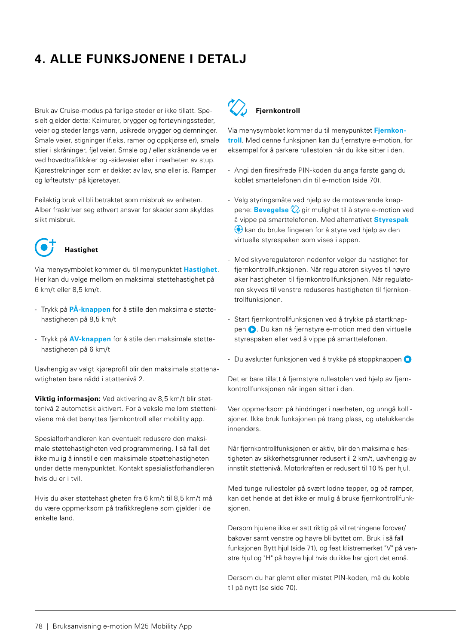### **4. ALLE FUNKSJONENE I DETALJ**

Bruk av Cruise-modus på farlige steder er ikke tillatt. Spesielt gjelder dette: Kaimurer, brygger og fortøyningssteder, veier og steder langs vann, usikrede brygger og demninger. Smale veier, stigninger (f.eks. ramer og oppkjørseler), smale stier i skråninger, fjellveier. Smale og / eller skrånende veier ved hovedtrafikkårer og -sideveier eller i nærheten av stup. Kjørestrekninger som er dekket av løv, snø eller is. Ramper og løfteutstyr på kjøretøyer.

Feilaktig bruk vil bli betraktet som misbruk av enheten. Alber fraskriver seg ethvert ansvar for skader som skyldes slikt misbruk.



#### **Hastighet**

Via menysymbolet kommer du til menypunktet **Hastighet**. Her kan du velge mellom en maksimal støttehastighet på 6 km/t eller 8,5 km/t.

- Trykk på **PÅ-knappen** for å stille den maksimale støttehastigheten på 8,5 km/t
- Trykk på **AV-knappen** for å stile den maksimale støttehastigheten på 6 km/t

Uavhengig av valgt kjøreprofil blir den maksimale støttehawtigheten bare nådd i støttenivå 2.

**Viktig informasjon:** Ved aktivering av 8,5 km/t blir støttenivå 2 automatisk aktivert. For å veksle mellom støttenivåene må det benyttes fjernkontroll eller mobility app.

Spesialforhandleren kan eventuelt redusere den maksimale støttehastigheten ved programmering. I så fall det ikke mulig å innstille den maksimale stpøttehastigheten under dette menypunktet. Kontakt spesialistforhandleren hvis du er i tvil.

Hvis du øker støttehastigheten fra 6 km/t til 8,5 km/t må du være oppmerksom på trafikkreglene som gjelder i de enkelte land.



#### **Fjernkontroll**

Via menysymbolet kommer du til menypunktet **Fjernkontroll**. Med denne funksjonen kan du fjernstyre e-motion, for eksempel for å parkere rullestolen når du ikke sitter i den.

- Angi den firesifrede PIN-koden du anga første gang du koblet smartelefonen din til e-motion (side 70).
- Velg styringsmåte ved hjelp av de motsvarende knappene: **Bevegelse**  $\oslash$  gir mulighet til å styre e-motion ved å vippe på smarttelefonen. Med alternativet **Styrespak**   $\langle \hat{\bullet} \rangle$  kan du bruke fingeren for å styre ved hjelp av den virtuelle styrespaken som vises i appen.
- Med skyveregulatoren nedenfor velger du hastighet for fjernkontrollfunksjonen. Når regulatoren skyves til høyre øker hastigheten til fjernkontrollfunksjonen. Når regulatoren skyves til venstre reduseres hastigheten til fjernkontrollfunksjonen.
- Start fjernkontrollfunksjonen ved å trykke på startknappen  $\bullet$ . Du kan nå fjernstyre e-motion med den virtuelle styrespaken eller ved å vippe på smarttelefonen.
- Du avslutter funksjonen ved å trykke på stoppknappen

Det er bare tillatt å fjernstyre rullestolen ved hjelp av fjernkontrollfunksjonen når ingen sitter i den.

Vær oppmerksom på hindringer i nærheten, og unngå kollisjoner. Ikke bruk funksjonen på trang plass, og utelukkende innendørs.

Når fjernkontrollfunksjonen er aktiv, blir den maksimale hastigheten av sikkerhetsgrunner redusert il 2 km/t, uavhengig av innstilt støttenivå. Motorkraften er redusert til 10% per hjul.

Med tunge rullestoler på svært lodne tepper, og på ramper, kan det hende at det ikke er mulig å bruke fjernkontrollfunksjonen.

Dersom hjulene ikke er satt riktig på vil retningene forover/ bakover samt venstre og høyre bli byttet om. Bruk i så fall funksjonen Bytt hjul (side 71), og fest klistremerket "V" på venstre hjul og "H" på høyre hjul hvis du ikke har gjort det ennå.

Dersom du har glemt eller mistet PIN-koden, må du koble til på nytt (se side 70).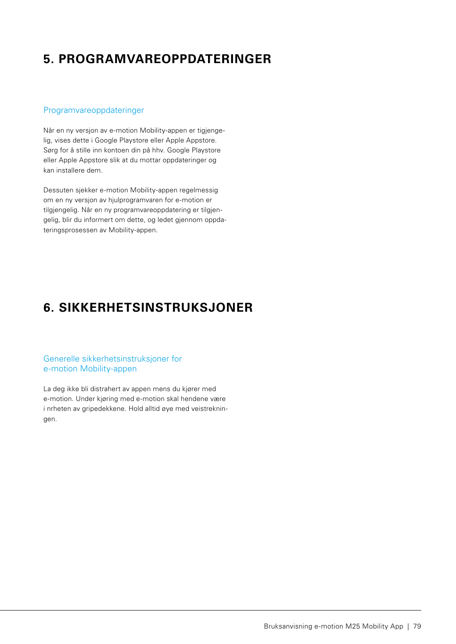### **5. PROGRAMVAREOPPDATERINGER**

#### Programvareoppdateringer

Når en ny versjon av e-motion Mobility-appen er tigjengelig, vises dette i Google Playstore eller Apple Appstore. Sørg for å stille inn kontoen din på hhv. Google Playstore eller Apple Appstore slik at du mottar oppdateringer og kan installere dem.

Dessuten sjekker e-motion Mobility-appen regelmessig om en ny versjon av hjulprogramvaren for e-motion er tilgjengelig. Når en ny programvareoppdatering er tilgjengelig, blir du informert om dette, og ledet gjennom oppdateringsprosessen av Mobility-appen.

### **6. SIKKERHETSINSTRUKSJONER**

#### Generelle sikkerhetsinstruksjoner for e-motion Mobility-appen

La deg ikke bli distrahert av appen mens du kjører med e-motion. Under kjøring med e-motion skal hendene være i nrheten av gripedekkene. Hold alltid øye med veistrekningen.